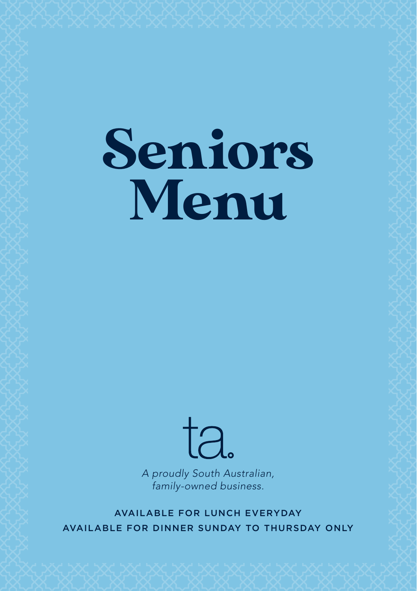# Seniors Menu



*A proudly South Australian, family-owned business.*

AVAILABLE FOR LUNCH EVERYDAY AVAILABLE FOR DINNER SUNDAY TO THURSDAY ONLY